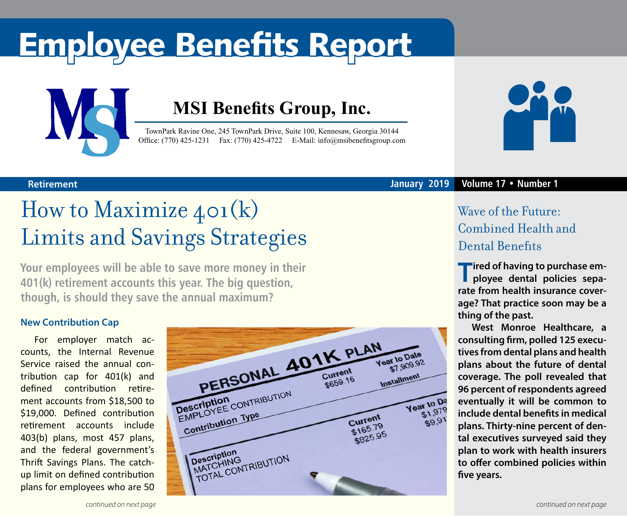# Employee Benefits Report



### **MSI Benefits Group, Inc.**

TownPark Ravine One, 245 TownPark Drive, Suite 100, Kennesaw, Georgia 30144 Office: (770) 425-1231 Fax: (770) 425-4722 E-Mail: [info@msibenefitsgroup.com](mailto:info@msibenefitsgroup.com)



## How to Maximize 401(k) Limits and Savings Strategies

**Your employees will be able to save more money in their 401(k) retirement accounts this year. The big question, though, is should they save the annual maximum?**

### **New Contribution Cap**

For employer match accounts, the Internal Revenue Service raised the annual contribution cap for 401(k) and defined contribution retirement accounts from \$18,500 to \$19,000. Defined contribution retirement accounts include 403(b) plans, most 457 plans, and the federal government's Thrift Savings Plans. The catchup limit on defined contribution plans for employees who are 50





#### **Retirement January 2019 Volume 17 • Number 1**

### Wave of the Future: Combined Health and Dental Benefits

**T**ired of having to purchase em**ployee dental policies separate from health insurance coverage? That practice soon may be a thing of the past.** 

**West Monroe Healthcare, a consulting firm, polled 125 executives from dental plans and health plans about the future of dental coverage. The poll revealed that 96 percent of respondents agreed eventually it will be common to include dental benefits in medical plans. Thirty-nine percent of dental executives surveyed said they plan to work with health insurers to offer combined policies within five years.**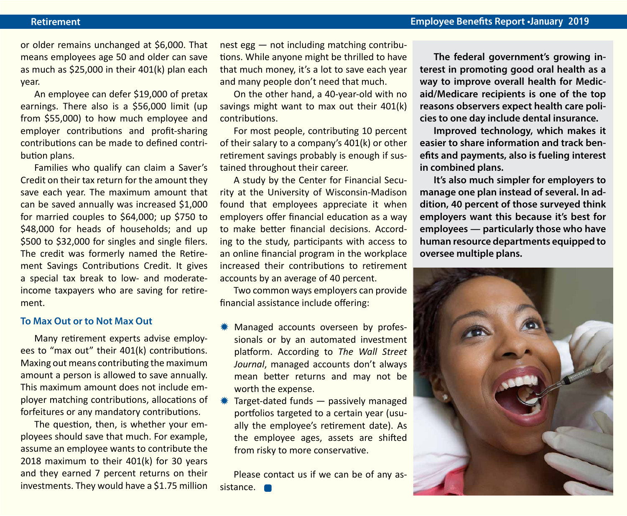#### **Retirement Employee Benefits Report •January 2019**

or older remains unchanged at \$6,000. That means employees age 50 and older can save as much as \$25,000 in their 401(k) plan each year.

An employee can defer \$19,000 of pretax earnings. There also is a \$56,000 limit (up from \$55,000) to how much employee and employer contributions and profit-sharing contributions can be made to defined contribution plans.

Families who qualify can claim a Saver's Credit on their tax return for the amount they save each year. The maximum amount that can be saved annually was increased \$1,000 for married couples to \$64,000; up \$750 to \$48,000 for heads of households; and up \$500 to \$32,000 for singles and single filers. The credit was formerly named the Retirement Savings Contributions Credit. It gives a special tax break to low- and moderateincome taxpayers who are saving for retirement.

#### **To Max Out or to Not Max Out**

Many retirement experts advise employees to "max out" their 401(k) contributions. Maxing out means contributing the maximum amount a person is allowed to save annually. This maximum amount does not include employer matching contributions, allocations of forfeitures or any mandatory contributions.

The question, then, is whether your employees should save that much. For example, assume an employee wants to contribute the 2018 maximum to their 401(k) for 30 years and they earned 7 percent returns on their investments. They would have a \$1.75 million nest egg — not including matching contributions. While anyone might be thrilled to have that much money, it's a lot to save each year and many people don't need that much.

On the other hand, a 40-year-old with no savings might want to max out their 401(k) contributions.

For most people, contributing 10 percent of their salary to a company's 401(k) or other retirement savings probably is enough if sustained throughout their career.

A study by the Center for Financial Security at the University of Wisconsin-Madison found that employees appreciate it when employers offer financial education as a way to make better financial decisions. According to the study, participants with access to an online financial program in the workplace increased their contributions to retirement accounts by an average of 40 percent.

Two common ways employers can provide financial assistance include offering:

- Managed accounts overseen by professionals or by an automated investment platform. According to *The Wall Street Journal*, managed accounts don't always mean better returns and may not be worth the expense.
- Target-dated funds  $-$  passively managed portfolios targeted to a certain year (usually the employee's retirement date). As the employee ages, assets are shifted from risky to more conservative.

Please contact us if we can be of any assistance. **O** 

**The federal government's growing interest in promoting good oral health as a way to improve overall health for Medicaid/Medicare recipients is one of the top reasons observers expect health care policies to one day include dental insurance.** 

**Improved technology, which makes it easier to share information and track benefits and payments, also is fueling interest in combined plans.**

**It's also much simpler for employers to manage one plan instead of several. In addition, 40 percent of those surveyed think employers want this because it's best for employees — particularly those who have human resource departments equipped to oversee multiple plans.**

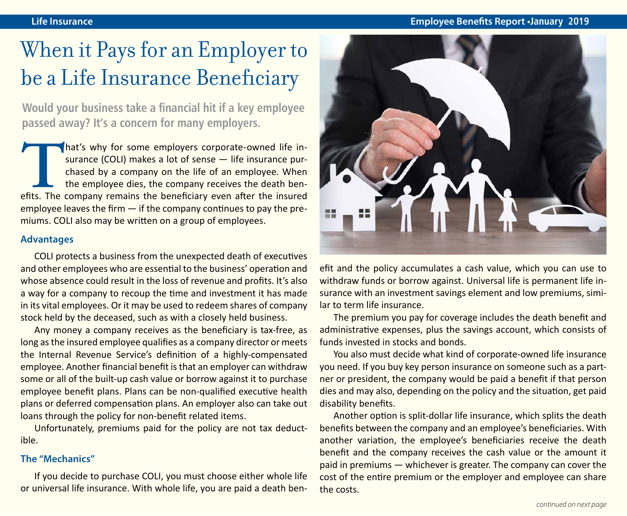### When it Pays for an Employer to be a Life Insurance Beneficiary

**Would your business take a financial hit if a key employee passed away? It's a concern for many employers.** 

That's why for some employers corporate-owned life in-<br>surance (COLI) makes a lot of sense — life insurance pur-<br>chased by a company on the life of an employee. When<br>the employee dies, the company receives the death ben-<br>e surance (COLI) makes a lot of sense — life insurance purchased by a company on the life of an employee. When the employee dies, the company receives the death benemployee leaves the firm  $-$  if the company continues to pay the premiums. COLI also may be written on a group of employees.

#### **Advantages**

COLI protects a business from the unexpected death of executives and other employees who are essential to the business' operation and whose absence could result in the loss of revenue and profits. It's also a way for a company to recoup the time and investment it has made in its vital employees. Or it may be used to redeem shares of company stock held by the deceased, such as with a closely held business.

Any money a company receives as the beneficiary is tax-free, as long as the insured employee qualifies as a company director or meets the Internal Revenue Service's definition of a highly-compensated employee. Another financial benefit is that an employer can withdraw some or all of the built-up cash value or borrow against it to purchase employee benefit plans. Plans can be non-qualified executive health plans or deferred compensation plans. An employer also can take out loans through the policy for non-benefit related items.

Unfortunately, premiums paid for the policy are not tax deductible.

#### **The "Mechanics"**

If you decide to purchase COLI, you must choose either whole life or universal life insurance. With whole life, you are paid a death ben-



efit and the policy accumulates a cash value, which you can use to withdraw funds or borrow against. Universal life is permanent life insurance with an investment savings element and low premiums, similar to term life insurance.

The premium you pay for coverage includes the death benefit and administrative expenses, plus the savings account, which consists of funds invested in stocks and bonds.

You also must decide what kind of corporate-owned life insurance you need. If you buy key person insurance on someone such as a partner or president, the company would be paid a benefit if that person dies and may also, depending on the policy and the situation, get paid disability benefits.

Another option is split-dollar life insurance, which splits the death benefits between the company and an employee's beneficiaries. With another variation, the employee's beneficiaries receive the death benefit and the company receives the cash value or the amount it paid in premiums — whichever is greater. The company can cover the cost of the entire premium or the employer and employee can share the costs.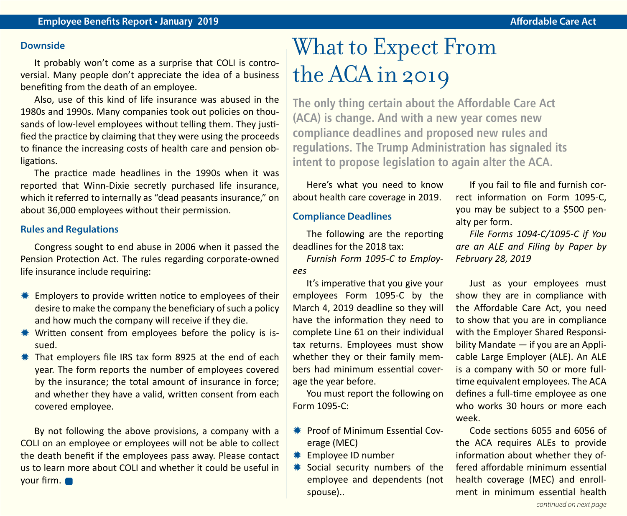#### **Downside**

It probably won't come as a surprise that COLI is controversial. Many people don't appreciate the idea of a business benefiting from the death of an employee.

Also, use of this kind of life insurance was abused in the 1980s and 1990s. Many companies took out policies on thousands of low-level employees without telling them. They justified the practice by claiming that they were using the proceeds to finance the increasing costs of health care and pension obligations.

The practice made headlines in the 1990s when it was reported that Winn-Dixie secretly purchased life insurance, which it referred to internally as "dead peasants insurance," on about 36,000 employees without their permission.

#### **Rules and Regulations**

Congress sought to end abuse in 2006 when it passed the Pension Protection Act. The rules regarding corporate-owned life insurance include requiring:

- $*$  Employers to provide written notice to employees of their desire to make the company the beneficiary of such a policy and how much the company will receive if they die.
- Written consent from employees before the policy is issued.
- $*$  That employers file IRS tax form 8925 at the end of each year. The form reports the number of employees covered by the insurance; the total amount of insurance in force; and whether they have a valid, written consent from each covered employee.

By not following the above provisions, a company with a COLI on an employee or employees will not be able to collect the death benefit if the employees pass away. Please contact us to learn more about COLI and whether it could be useful in your firm.

## What to Expect From the ACA in 2019

**The only thing certain about the Affordable Care Act (ACA) is change. And with a new year comes new compliance deadlines and proposed new rules and regulations. The Trump Administration has signaled its intent to propose legislation to again alter the ACA.** 

Here's what you need to know about health care coverage in 2019.

#### **Compliance Deadlines**

The following are the reporting deadlines for the 2018 tax:

*Furnish Form 1095-C to Employees*

It's imperative that you give your employees Form 1095-C by the March 4, 2019 deadline so they will have the information they need to complete Line 61 on their individual tax returns. Employees must show whether they or their family members had minimum essential coverage the year before.

You must report the following on Form 1095-C:

- **\* Proof of Minimum Essential Cov**erage (MEC)
- **\* Employee ID number**
- \* Social security numbers of the employee and dependents (not spouse)..

If you fail to file and furnish correct information on Form 1095-C, you may be subject to a \$500 penalty per form.

*File Forms 1094-C/1095-C if You are an ALE and Filing by Paper by February 28, 2019*

Just as your employees must show they are in compliance with the Affordable Care Act, you need to show that you are in compliance with the Employer Shared Responsibility Mandate — if you are an Applicable Large Employer (ALE). An ALE is a company with 50 or more fulltime equivalent employees. The ACA defines a full-time employee as one who works 30 hours or more each week.

Code sections 6055 and 6056 of the ACA requires ALEs to provide information about whether they offered affordable minimum essential health coverage (MEC) and enrollment in minimum essential health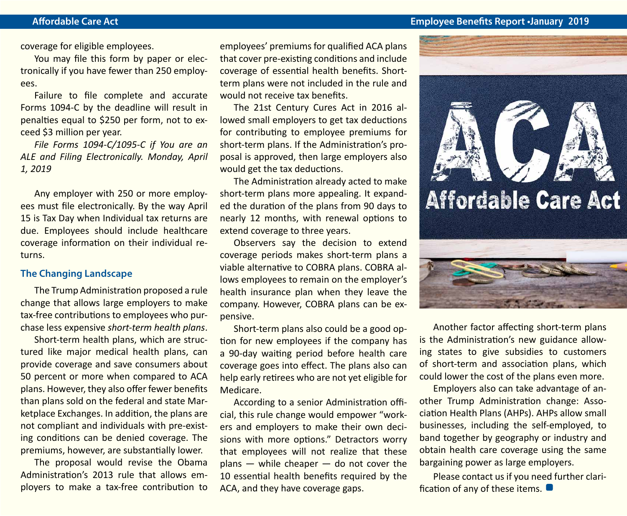#### **Affordable Care Act Employee Benefits Report •January 2019**

coverage for eligible employees.

You may file this form by paper or electronically if you have fewer than 250 employees.

Failure to file complete and accurate Forms 1094-C by the deadline will result in penalties equal to \$250 per form, not to exceed \$3 million per year.

*File Forms 1094-C/1095-C if You are an ALE and Filing Electronically. Monday, April 1, 2019*

Any employer with 250 or more employees must file electronically. By the way April 15 is Tax Day when Individual tax returns are due. Employees should include healthcare coverage information on their individual returns.

#### **The Changing Landscape**

The Trump Administration proposed a rule change that allows large employers to make tax-free contributions to employees who purchase less expensive *short-term health plans*.

Short-term health plans, which are structured like major medical health plans, can provide coverage and save consumers about 50 percent or more when compared to ACA plans. However, they also offer fewer benefits than plans sold on the federal and state Marketplace Exchanges. In addition, the plans are not compliant and individuals with pre-existing conditions can be denied coverage. The premiums, however, are substantially lower.

The proposal would revise the Obama Administration's 2013 rule that allows employers to make a tax-free contribution to employees' premiums for qualified ACA plans that cover pre-existing conditions and include coverage of essential health benefits. Shortterm plans were not included in the rule and would not receive tax benefits.

The 21st Century Cures Act in 2016 allowed small employers to get tax deductions for contributing to employee premiums for short-term plans. If the Administration's proposal is approved, then large employers also would get the tax deductions.

The Administration already acted to make short-term plans more appealing. It expanded the duration of the plans from 90 days to nearly 12 months, with renewal options to extend coverage to three years.

Observers say the decision to extend coverage periods makes short-term plans a viable alternative to COBRA plans. COBRA allows employees to remain on the employer's health insurance plan when they leave the company. However, COBRA plans can be expensive.

Short-term plans also could be a good option for new employees if the company has a 90-day waiting period before health care coverage goes into effect. The plans also can help early retirees who are not yet eligible for Medicare.

According to a senior Administration official, this rule change would empower "workers and employers to make their own decisions with more options." Detractors worry that employees will not realize that these  $plane$  — while cheaper — do not cover the 10 essential health benefits required by the ACA, and they have coverage gaps.



Another factor affecting short-term plans is the Administration's new guidance allowing states to give subsidies to customers of short-term and association plans, which could lower the cost of the plans even more.

Employers also can take advantage of another Trump Administration change: Association Health Plans (AHPs). AHPs allow small businesses, including the self-employed, to band together by geography or industry and obtain health care coverage using the same bargaining power as large employers.

Please contact us if you need further clarification of any of these items.